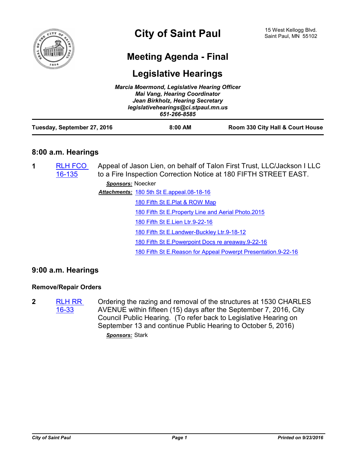

# **Meeting Agenda - Final**

# **Legislative Hearings**

| <b>Marcia Moermond, Legislative Hearing Officer</b><br><b>Mai Vang, Hearing Coordinator</b><br>Jean Birkholz, Hearing Secretary |                                                     |                                  |  |  |
|---------------------------------------------------------------------------------------------------------------------------------|-----------------------------------------------------|----------------------------------|--|--|
|                                                                                                                                 | legislativehearings@ci.stpaul.mn.us<br>651-266-8585 |                                  |  |  |
| Tuesday, September 27, 2016                                                                                                     | $8:00$ AM                                           | Room 330 City Hall & Court House |  |  |

## **8:00 a.m. Hearings**

| 1 | <b>RLH FCO</b><br>16-135 | Appeal of Jason Lien, on behalf of Talon First Trust, LLC/Jackson I LLC<br>to a Fire Inspection Correction Notice at 180 FIFTH STREET EAST. |                                                                 |  |
|---|--------------------------|---------------------------------------------------------------------------------------------------------------------------------------------|-----------------------------------------------------------------|--|
|   |                          | Sponsors: Noecker                                                                                                                           |                                                                 |  |
|   |                          |                                                                                                                                             | <b>Attachments: 180 5th St E.appeal.08-18-16</b>                |  |
|   |                          |                                                                                                                                             | 180 Fifth St E.Plat & ROW Map                                   |  |
|   |                          |                                                                                                                                             | 180 Fifth St E. Property Line and Aerial Photo. 2015            |  |
|   |                          |                                                                                                                                             | 180 Fifth St E.Lien Ltr.9-22-16                                 |  |
|   |                          |                                                                                                                                             | 180 Fifth St E.Landwer-Buckley Ltr.9-18-12                      |  |
|   |                          |                                                                                                                                             | 180 Fifth St E. Powerpoint Docs re areaway. 9-22-16             |  |
|   |                          |                                                                                                                                             | 180 Fifth St E. Reason for Appeal Powerpt Presentation. 9-22-16 |  |
|   |                          |                                                                                                                                             |                                                                 |  |

# **9:00 a.m. Hearings**

#### **Remove/Repair Orders**

**2** [RLH RR](http://stpaul.legistar.com/gateway.aspx?m=l&id=/matter.aspx?key=22122)  16-33 Ordering the razing and removal of the structures at 1530 CHARLES AVENUE within fifteen (15) days after the September 7, 2016, City Council Public Hearing. (To refer back to Legislative Hearing on September 13 and continue Public Hearing to October 5, 2016)

*Sponsors:* Stark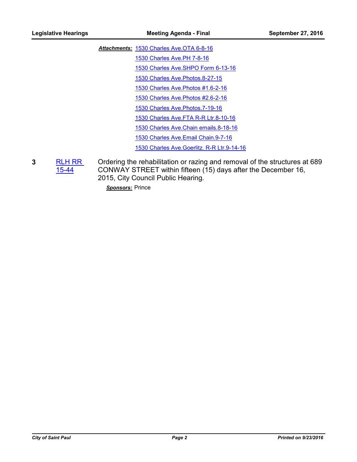[1530 Charles Ave.OTA 6-8-16](http://StPaul.legistar.com/gateway.aspx?M=F&ID=d739af49-3819-4fcc-b309-0289b3c9f725.pdf) *Attachments:*

[1530 Charles Ave.PH 7-8-16](http://StPaul.legistar.com/gateway.aspx?M=F&ID=e382d208-2ae1-4bee-b05a-f4f80b6c4d0d.pdf)

[1530 Charles Ave.SHPO Form 6-13-16](http://StPaul.legistar.com/gateway.aspx?M=F&ID=d5eb7cae-3893-471b-9598-1360969ce65b.pdf)

[1530 Charles Ave.Photos.8-27-15](http://StPaul.legistar.com/gateway.aspx?M=F&ID=84c9130d-5eb1-4097-92ce-7b46371709dc.pdf)

[1530 Charles Ave.Photos #1.6-2-16](http://StPaul.legistar.com/gateway.aspx?M=F&ID=2cef392b-29c4-4e31-8680-9010d721c0e8.pdf)

[1530 Charles Ave.Photos #2.6-2-16](http://StPaul.legistar.com/gateway.aspx?M=F&ID=96096db6-5793-4d50-a584-312d0e40ec10.pdf)

[1530 Charles Ave.Photos.7-19-16](http://StPaul.legistar.com/gateway.aspx?M=F&ID=edb996b1-6e17-4208-b1e9-a27631c4fb1b.pdf)

[1530 Charles Ave.FTA R-R Ltr.8-10-16](http://StPaul.legistar.com/gateway.aspx?M=F&ID=2d1aab44-f421-4fe3-acc8-967e65ae4588.doc)

[1530 Charles Ave.Chain emails.8-18-16](http://StPaul.legistar.com/gateway.aspx?M=F&ID=1aa5c8aa-ae93-488f-b2d7-853c084f6bc7.pdf)

[1530 Charles Ave.Email Chain.9-7-16](http://StPaul.legistar.com/gateway.aspx?M=F&ID=accdc024-54b2-4555-b872-8f8deda7d23c.pdf)

[1530 Charles Ave.Goerlitz. R-R Ltr.9-14-16](http://StPaul.legistar.com/gateway.aspx?M=F&ID=0837ed13-2cbb-455c-ad39-6b3f1a6e4287.doc)

**3** [RLH RR](http://stpaul.legistar.com/gateway.aspx?m=l&id=/matter.aspx?key=20134)  15-44 Ordering the rehabilitation or razing and removal of the structures at 689 CONWAY STREET within fifteen (15) days after the December 16, 2015, City Council Public Hearing.

*Sponsors:* Prince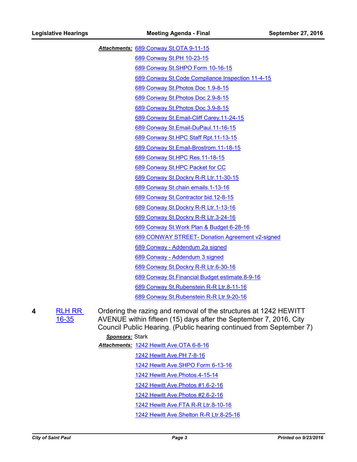[689 Conway St.OTA 9-11-15](http://StPaul.legistar.com/gateway.aspx?M=F&ID=3cb8c405-eca2-4f7b-8ccd-ce3a9273b115.pdf) *Attachments:* [689 Conway St.PH 10-23-15](http://StPaul.legistar.com/gateway.aspx?M=F&ID=31abb912-2a49-48a8-a50f-478d4b414619.pdf) [689 Conway St.SHPO Form 10-16-15](http://StPaul.legistar.com/gateway.aspx?M=F&ID=c6ef21b5-b114-4f73-b9c4-424bf627f330.pdf) [689 Conway St.Code Compliance Inspection 11-4-15](http://StPaul.legistar.com/gateway.aspx?M=F&ID=c3a43754-abc8-4ba3-8ba6-9be579a55c7c.pdf) [689 Conway St.Photos Doc 1.9-8-15](http://StPaul.legistar.com/gateway.aspx?M=F&ID=ce499a55-1e0b-498a-9c5c-1cbd0d96ca67.pdf) [689 Conway St.Photos Doc 2.9-8-15](http://StPaul.legistar.com/gateway.aspx?M=F&ID=9f47ebaa-b8ec-4ece-8375-b8f9a2484f5b.pdf) [689 Conway St.Photos Doc 3.9-8-15](http://StPaul.legistar.com/gateway.aspx?M=F&ID=db6a303c-0bd1-4e9d-b6f2-3fb4052eca5f.pdf) [689 Conway St.Email-Cliff Carey.11-24-15](http://StPaul.legistar.com/gateway.aspx?M=F&ID=6802d875-4d3a-4445-b721-2fd428b16208.pdf) [689 Conway St.Email-DuPaul.11-16-15](http://StPaul.legistar.com/gateway.aspx?M=F&ID=cffbaf80-bc99-4b31-b7c5-7011e9e2867f.pdf) [689 Conway St.HPC Staff Rpt.11-13-15](http://StPaul.legistar.com/gateway.aspx?M=F&ID=d70ef255-114e-4a26-9aa3-3d3420120950.pdf) [689 Conway St.Email-Brostrom.11-18-15](http://StPaul.legistar.com/gateway.aspx?M=F&ID=fb6688d9-3e52-491f-ab1a-2e3cbd06e4ec.pdf) [689 Conway St.HPC Res.11-18-15](http://StPaul.legistar.com/gateway.aspx?M=F&ID=03f4f834-6027-4376-abe8-d244f3a4f3a1.pdf) [689 Conway St.HPC Packet for CC](http://StPaul.legistar.com/gateway.aspx?M=F&ID=9c1ed57d-6fb3-4190-8702-94e7ced47c8d.pdf) [689 Conway St.Dockry R-R Ltr.11-30-15](http://StPaul.legistar.com/gateway.aspx?M=F&ID=fde0a276-3f20-4b43-a4a8-ac1594bd77e1.doc) [689 Conway St.chain emails.1-13-16](http://StPaul.legistar.com/gateway.aspx?M=F&ID=218a3694-8510-4610-8812-bcfbd41b1b57.pdf) [689 Conway St.Contractor bid.12-8-15](http://StPaul.legistar.com/gateway.aspx?M=F&ID=1f8029a7-b9fb-40c3-b575-c4def35fd467.pdf) [689 Conway St.Dockry R-R Ltr.1-13-16](http://StPaul.legistar.com/gateway.aspx?M=F&ID=86d12349-0f3c-4620-bc1b-1f8a948517bb.doc) [689 Conway St.Dockry R-R Ltr.3-24-16](http://StPaul.legistar.com/gateway.aspx?M=F&ID=8236cdac-d5cd-4f05-8bf5-fe7d183c4dcd.doc) [689 Conway St.Work Plan & Budget 6-28-16](http://StPaul.legistar.com/gateway.aspx?M=F&ID=731dbd3e-b2a8-4b3a-9d94-d73e85d940cc.pdf) [689 CONWAY STREET- Donation Agreement v2-signed](http://StPaul.legistar.com/gateway.aspx?M=F&ID=ee7783be-ef69-4ccf-8ca0-f3b90c59df60.pdf) [689 Conway - Addendum 2a signed](http://StPaul.legistar.com/gateway.aspx?M=F&ID=5aa0e580-dd17-4b46-8476-64930377c696.pdf) [689 Conway - Addendum 3 signed](http://StPaul.legistar.com/gateway.aspx?M=F&ID=4df27471-af6e-4522-b0dc-47aea4cfa9d8.pdf) [689 Conway St.Dockry R-R Ltr.6-30-16](http://StPaul.legistar.com/gateway.aspx?M=F&ID=4c200c07-a55a-47d7-b412-3922e34aeac4.doc) [689 Conway St.Financial Budget estimate.8-9-16](http://StPaul.legistar.com/gateway.aspx?M=F&ID=bbf516fa-7c9c-4117-ad8f-811c221bee2b.pdf) [689 Conway St.Rubenstein R-R Ltr.8-11-16](http://StPaul.legistar.com/gateway.aspx?M=F&ID=3921b3b4-ede2-484e-962d-c21268b89176.doc) [689 Conway St.Rubenstein R-R Ltr.9-20-16](http://StPaul.legistar.com/gateway.aspx?M=F&ID=424f779c-7288-4ac4-b9b3-8b6ba3239c9f.doc)

**4** [RLH RR](http://stpaul.legistar.com/gateway.aspx?m=l&id=/matter.aspx?key=22124)  16-35

Ordering the razing and removal of the structures at 1242 HEWITT AVENUE within fifteen (15) days after the September 7, 2016, City Council Public Hearing. (Public hearing continued from September 7)

#### *Sponsors:* Stark

[1242 Hewitt Ave.OTA 6-8-16](http://StPaul.legistar.com/gateway.aspx?M=F&ID=b4e1e9e8-45e4-4059-9be7-82f2d740da29.pdf) *Attachments:*

- [1242 Hewitt Ave.PH 7-8-16](http://StPaul.legistar.com/gateway.aspx?M=F&ID=aba4d1cf-7b08-467d-b95d-53b585f78157.pdf)
- [1242 Hewitt Ave.SHPO Form 6-13-16](http://StPaul.legistar.com/gateway.aspx?M=F&ID=f3765350-8626-4e79-9e20-9654299fd31d.pdf)
- [1242 Hewitt Ave.Photos.4-15-14](http://StPaul.legistar.com/gateway.aspx?M=F&ID=c6830184-1cc6-4821-a4b5-64a4b9ca1626.pdf)
- [1242 Hewitt Ave.Photos #1.6-2-16](http://StPaul.legistar.com/gateway.aspx?M=F&ID=891acd36-4ff7-4d6a-a919-4b176a04979d.pdf)
- [1242 Hewitt Ave.Photos #2.6-2-16](http://StPaul.legistar.com/gateway.aspx?M=F&ID=37ecf630-ff90-4563-aaf1-1ea9d75236a0.pdf)
- [1242 Hewitt Ave.FTA R-R Ltr.8-10-16](http://StPaul.legistar.com/gateway.aspx?M=F&ID=972e99e6-520d-4b67-9dd5-a45c94aee891.doc)
- [1242 Hewitt Ave.Shelton R-R Ltr.8-25-16](http://StPaul.legistar.com/gateway.aspx?M=F&ID=9c3c0d16-7321-4fa9-b410-06d924fd6ef7.doc)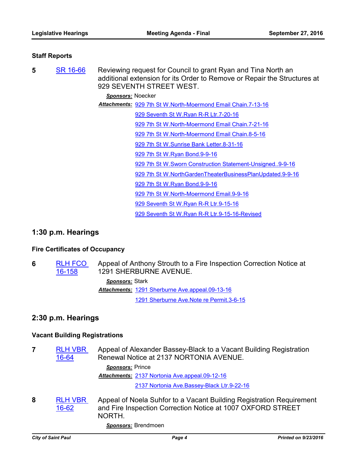#### **Staff Reports**

**5** [SR 16-66](http://stpaul.legistar.com/gateway.aspx?m=l&id=/matter.aspx?key=22241) Reviewing request for Council to grant Ryan and Tina North an additional extension for its Order to Remove or Repair the Structures at 929 SEVENTH STREET WEST.

*Sponsors:* Noecker

[929 7th St W.North-Moermond Email Chain.7-13-16](http://StPaul.legistar.com/gateway.aspx?M=F&ID=f8bca058-87d8-4862-9750-eebfd0f96f96.pdf) *Attachments:*

[929 Seventh St W.Ryan R-R Ltr.7-20-16](http://StPaul.legistar.com/gateway.aspx?M=F&ID=30a21c17-06aa-453b-a2cf-6ba3b547cf59.pdf)

[929 7th St W.North-Moermond Email Chain.7-21-16](http://StPaul.legistar.com/gateway.aspx?M=F&ID=d47a5248-2bb9-44bd-92d3-c9840e629603.pdf)

[929 7th St W.North-Moermond Email Chain.8-5-16](http://StPaul.legistar.com/gateway.aspx?M=F&ID=74860de2-e0fa-408e-9953-a5001a1441db.pdf)

[929 7th St W.Sunrise Bank Letter.8-31-16](http://StPaul.legistar.com/gateway.aspx?M=F&ID=dee7982b-0514-4ee1-93df-955bf31748c1.pdf)

[929 7th St W.Ryan Bond.9-9-16](http://StPaul.legistar.com/gateway.aspx?M=F&ID=0376df15-7aff-4537-9f58-78fddbdc7e0f.pdf)

[929 7th St W.Sworn Construction Statement-Unsigned..9-9-16](http://StPaul.legistar.com/gateway.aspx?M=F&ID=1c49d440-c1e4-4784-86c8-ca34b5005414.pdf)

[929 7th St W.NorthGardenTheaterBusinessPlanUpdated.9-9-16](http://StPaul.legistar.com/gateway.aspx?M=F&ID=ab214d19-0150-4f41-8e8b-dec5eb05d2d3.pdf)

[929 7th St W.Ryan Bond.9-9-16](http://StPaul.legistar.com/gateway.aspx?M=F&ID=80edada2-70ba-4dce-9017-892f274614dd.pdf)

[929 7th St W.North-Moermond Email.9-9-16](http://StPaul.legistar.com/gateway.aspx?M=F&ID=495354e6-5fbf-4c33-863f-dd8fcfe86e6a.pdf)

[929 Seventh St W.Ryan R-R Ltr.9-15-16](http://StPaul.legistar.com/gateway.aspx?M=F&ID=110b3624-78ca-4646-b305-2ff5d09adecc.doc)

[929 Seventh St W.Ryan R-R Ltr.9-15-16-Revised](http://StPaul.legistar.com/gateway.aspx?M=F&ID=006082e8-cf93-41d9-9c74-9875850cbc99.doc)

### **1:30 p.m. Hearings**

#### **Fire Certificates of Occupancy**

**6** [RLH FCO](http://stpaul.legistar.com/gateway.aspx?m=l&id=/matter.aspx?key=22660)  16-158 Appeal of Anthony Strouth to a Fire Inspection Correction Notice at 1291 SHERBURNE AVENUE. *Sponsors:* Stark Attachments: [1291 Sherburne Ave.appeal.09-13-16](http://StPaul.legistar.com/gateway.aspx?M=F&ID=494a7043-52ea-420f-80a0-331c6adf53bc.pdf) [1291 Sherburne Ave.Note re Permit.3-6-15](http://StPaul.legistar.com/gateway.aspx?M=F&ID=2a59a9d8-ebd1-4f9e-af58-94c2ed5b42d2.pdf)

### **2:30 p.m. Hearings**

#### **Vacant Building Registrations**

**7** [RLH VBR](http://stpaul.legistar.com/gateway.aspx?m=l&id=/matter.aspx?key=22649)  16-64 Appeal of Alexander Bassey-Black to a Vacant Building Registration Renewal Notice at 2137 NORTONIA AVENUE. *Sponsors:* Prince [2137 Nortonia Ave.appeal.09-12-16](http://StPaul.legistar.com/gateway.aspx?M=F&ID=95482be4-797f-4ed7-a8de-cf271a199588.pdf) *Attachments:* [2137 Nortonia Ave.Bassey-Black Ltr.9-22-16](http://StPaul.legistar.com/gateway.aspx?M=F&ID=ab0bd63e-e86c-4970-ac90-61fbf7da50c0.doc) **8** [RLH VBR](http://stpaul.legistar.com/gateway.aspx?m=l&id=/matter.aspx?key=22630)  16-62 Appeal of Noela Suhfor to a Vacant Building Registration Requirement and Fire Inspection Correction Notice at 1007 OXFORD STREET NORTH.

*Sponsors:* Brendmoen